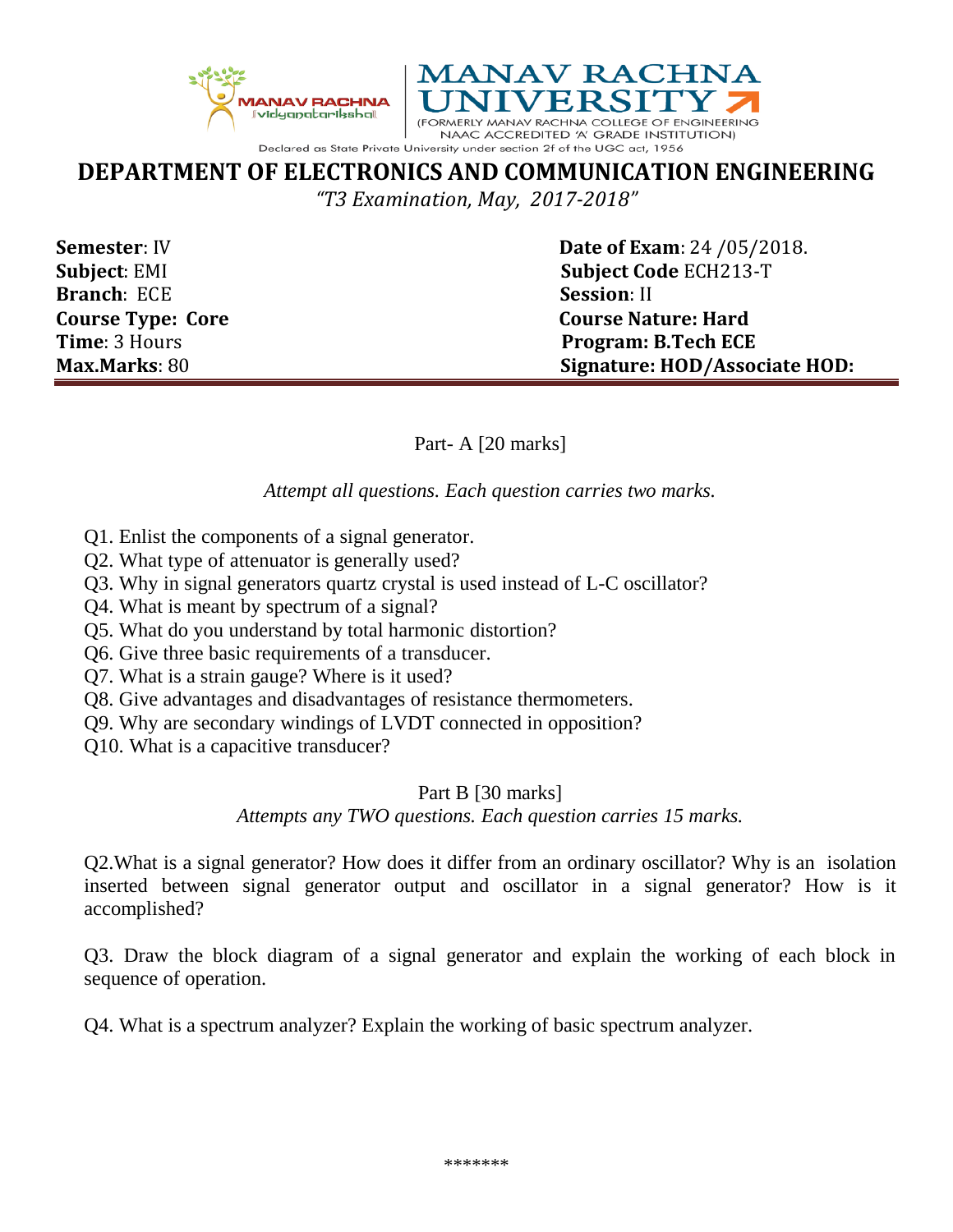



# **DEPARTMENT OF ELECTRONICS AND COMMUNICATION ENGINEERING**

*"T3 Examination, May, 2017-2018"*

**Branch**: ECE **Session**: II

**Semester**: IV **Date of Exam**: 24 /05/2018. **Subject**: EMI **Subject Code** ECH213-T **Course Type: Core Course Nature: Hard Time**: 3 Hours **Program: B.Tech ECE Max.Marks**: 80 **Signature: HOD/Associate HOD:**

Part- A [20 marks]

*Attempt all questions. Each question carries two marks.*

- Q1. Enlist the components of a signal generator.
- Q2. What type of attenuator is generally used?
- Q3. Why in signal generators quartz crystal is used instead of L-C oscillator?
- Q4. What is meant by spectrum of a signal?
- Q5. What do you understand by total harmonic distortion?
- Q6. Give three basic requirements of a transducer.
- Q7. What is a strain gauge? Where is it used?
- Q8. Give advantages and disadvantages of resistance thermometers.
- Q9. Why are secondary windings of LVDT connected in opposition?
- Q10. What is a capacitive transducer?

# Part B [30 marks]

# *Attempts any TWO questions. Each question carries 15 marks.*

Q2.What is a signal generator? How does it differ from an ordinary oscillator? Why is an isolation inserted between signal generator output and oscillator in a signal generator? How is it accomplished?

Q3. Draw the block diagram of a signal generator and explain the working of each block in sequence of operation.

Q4. What is a spectrum analyzer? Explain the working of basic spectrum analyzer.